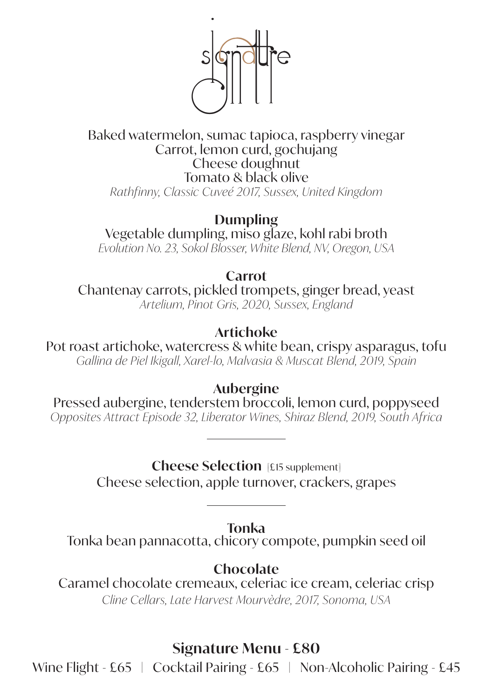

#### Baked watermelon, sumac tapioca, raspberry vinegar Carrot, lemon curd, gochujang Cheese doughnut Tomato & black olive *Rathfinny, Classic Cuveé 2017, Sussex, United Kingdom*

**Dumpling** Vegetable dumpling, miso glaze, kohl rabi broth *Evolution No. 23, Sokol Blosser, White Blend, NV, Oregon, USA*

**Carrot**

Chantenay carrots, pickled trompets, ginger bread, yeast *Artelium, Pinot Gris, 2020, Sussex, England*

## **Artichoke**

Pot roast artichoke, watercress & white bean, crispy asparagus, tofu *Gallina de Piel Ikigall, Xarel-lo, Malvasia & Muscat Blend, 2019, Spain* 

**Aubergine**

Pressed aubergine, tenderstem broccoli, lemon curd, poppyseed *Opposites Attract Episode 32, Liberator Wines, Shiraz Blend, 2019, South Africa*

**Cheese Selection** [£15 supplement]

Cheese selection, apple turnover, crackers, grapes

**Tonka**

Tonka bean pannacotta, chicory compote, pumpkin seed oil

**Chocolate**

Caramel chocolate cremeaux, celeriac ice cream, celeriac crisp *Cline Cellars, Late Harvest Mourvèdre, 2017, Sonoma, USA*

# **Signature Menu - £80**

Wine Flight - £65 | Cocktail Pairing - £65 | Non-Alcoholic Pairing - £45